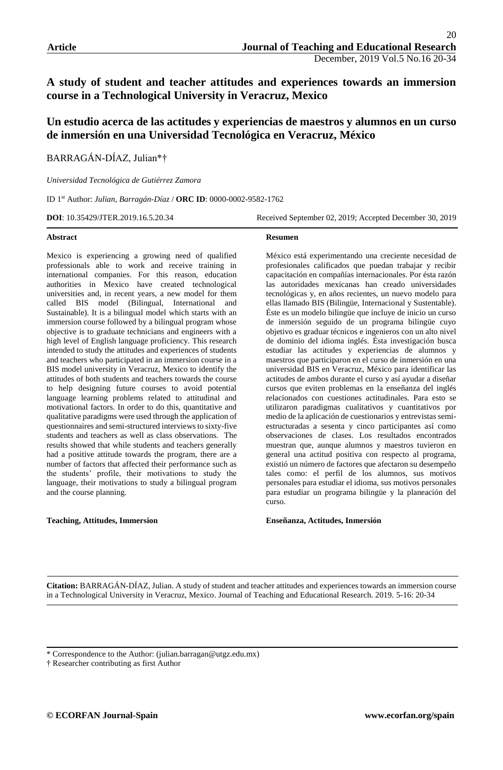# **A study of student and teacher attitudes and experiences towards an immersion course in a Technological University in Veracruz, Mexico**

# **Un estudio acerca de las actitudes y experiencias de maestros y alumnos en un curso de inmersión en una Universidad Tecnológica en Veracruz, México**

BARRAGÁN-DÍAZ, Julian\*†

*Universidad Tecnológica de Gutiérrez Zamora*

ID 1st Author: *Julian, Barragán-Díaz* / **ORC ID**: 0000-0002-9582-1762

**DOI**: 10.35429/JTER.2019.16.5.20.34 Received September 02, 2019; Accepted December 30, 2019

#### **Abstract**

Mexico is experiencing a growing need of qualified professionals able to work and receive training in international companies. For this reason, education authorities in Mexico have created technological universities and, in recent years, a new model for them called BIS model (Bilingual, International and Sustainable). It is a bilingual model which starts with an immersion course followed by a bilingual program whose objective is to graduate technicians and engineers with a high level of English language proficiency. This research intended to study the attitudes and experiences of students and teachers who participated in an immersion course in a BIS model university in Veracruz, Mexico to identify the attitudes of both students and teachers towards the course to help designing future courses to avoid potential language learning problems related to attitudinal and motivational factors. In order to do this, quantitative and qualitative paradigms were used through the application of questionnaires and semi-structured interviews to sixty-five students and teachers as well as class observations. The results showed that while students and teachers generally had a positive attitude towards the program, there are a number of factors that affected their performance such as the students' profile, their motivations to study the language, their motivations to study a bilingual program and the course planning.

#### **Teaching, Attitudes, Immersion**

**Resumen** 

México está experimentando una creciente necesidad de profesionales calificados que puedan trabajar y recibir capacitación en compañías internacionales. Por ésta razón las autoridades mexicanas han creado universidades tecnológicas y, en años recientes, un nuevo modelo para ellas llamado BIS (Bilingüe, Internacional y Sustentable). Éste es un modelo bilingüe que incluye de inicio un curso de inmersión seguido de un programa bilingüe cuyo objetivo es graduar técnicos e ingenieros con un alto nivel de dominio del idioma inglés. Ésta investigación busca estudiar las actitudes y experiencias de alumnos y maestros que participaron en el curso de inmersión en una universidad BIS en Veracruz, México para identificar las actitudes de ambos durante el curso y así ayudar a diseñar cursos que eviten problemas en la enseñanza del inglés relacionados con cuestiones actitudinales. Para esto se utilizaron paradigmas cualitativos y cuantitativos por medio de la aplicación de cuestionarios y entrevistas semiestructuradas a sesenta y cinco participantes así como observaciones de clases. Los resultados encontrados muestran que, aunque alumnos y maestros tuvieron en general una actitud positiva con respecto al programa, existió un número de factores que afectaron su desempeño tales como: el perfil de los alumnos, sus motivos personales para estudiar el idioma, sus motivos personales para estudiar un programa bilingüe y la planeación del curso.

#### **Enseñanza, Actitudes, Inmersión**

**Citation:** BARRAGÁN-DÍAZ, Julian. A study of student and teacher attitudes and experiences towards an immersion course in a Technological University in Veracruz, Mexico. Journal of Teaching and Educational Research. 2019. 5-16: 20-34

† Researcher contributing as first Author

<sup>\*</sup> Correspondence to the Author: (julian.barragan@utgz.edu.mx)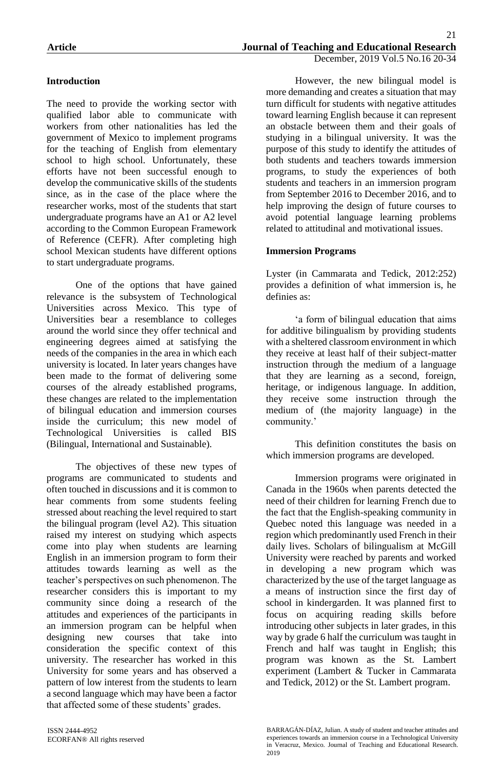# **Introduction**

The need to provide the working sector with qualified labor able to communicate with workers from other nationalities has led the government of Mexico to implement programs for the teaching of English from elementary school to high school. Unfortunately, these efforts have not been successful enough to develop the communicative skills of the students since, as in the case of the place where the researcher works, most of the students that start undergraduate programs have an A1 or A2 level according to the Common European Framework of Reference (CEFR). After completing high school Mexican students have different options to start undergraduate programs.

One of the options that have gained relevance is the subsystem of Technological Universities across Mexico. This type of Universities bear a resemblance to colleges around the world since they offer technical and engineering degrees aimed at satisfying the needs of the companies in the area in which each university is located. In later years changes have been made to the format of delivering some courses of the already established programs, these changes are related to the implementation of bilingual education and immersion courses inside the curriculum; this new model of Technological Universities is called BIS (Bilingual, International and Sustainable).

The objectives of these new types of programs are communicated to students and often touched in discussions and it is common to hear comments from some students feeling stressed about reaching the level required to start the bilingual program (level A2). This situation raised my interest on studying which aspects come into play when students are learning English in an immersion program to form their attitudes towards learning as well as the teacher's perspectives on such phenomenon. The researcher considers this is important to my community since doing a research of the attitudes and experiences of the participants in an immersion program can be helpful when designing new courses that take into consideration the specific context of this university. The researcher has worked in this University for some years and has observed a pattern of low interest from the students to learn a second language which may have been a factor that affected some of these students' grades.

However, the new bilingual model is more demanding and creates a situation that may turn difficult for students with negative attitudes toward learning English because it can represent an obstacle between them and their goals of studying in a bilingual university. It was the purpose of this study to identify the attitudes of both students and teachers towards immersion programs, to study the experiences of both students and teachers in an immersion program from September 2016 to December 2016, and to help improving the design of future courses to avoid potential language learning problems related to attitudinal and motivational issues.

### **Immersion Programs**

Lyster (in Cammarata and Tedick, 2012:252) provides a definition of what immersion is, he definies as:

'a form of bilingual education that aims for additive bilingualism by providing students with a sheltered classroom environment in which they receive at least half of their subject-matter instruction through the medium of a language that they are learning as a second, foreign, heritage, or indigenous language. In addition, they receive some instruction through the medium of (the majority language) in the community.'

This definition constitutes the basis on which immersion programs are developed.

Immersion programs were originated in Canada in the 1960s when parents detected the need of their children for learning French due to the fact that the English-speaking community in Quebec noted this language was needed in a region which predominantly used French in their daily lives. Scholars of bilingualism at McGill University were reached by parents and worked in developing a new program which was characterized by the use of the target language as a means of instruction since the first day of school in kindergarden. It was planned first to focus on acquiring reading skills before introducing other subjects in later grades, in this way by grade 6 half the curriculum was taught in French and half was taught in English; this program was known as the St. Lambert experiment (Lambert & Tucker in Cammarata and Tedick, 2012) or the St. Lambert program.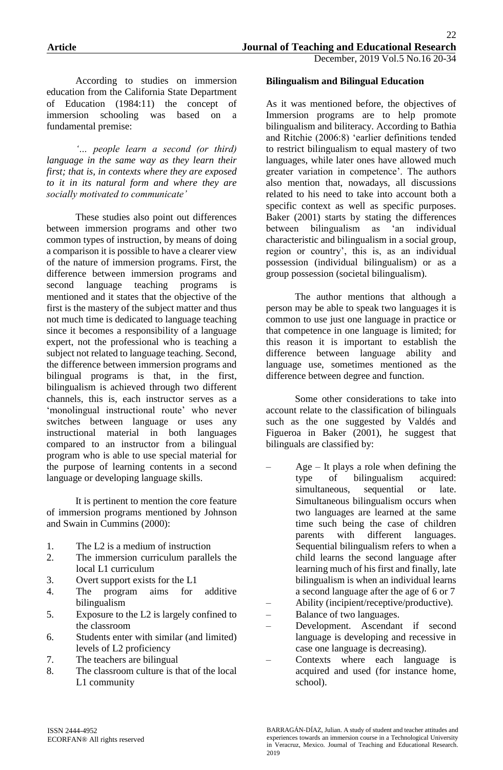According to studies on immersion education from the California State Department of Education (1984:11) the concept of immersion schooling was based on a fundamental premise:

*'… people learn a second (or third) language in the same way as they learn their first; that is, in contexts where they are exposed to it in its natural form and where they are socially motivated to communicate'*

These studies also point out differences between immersion programs and other two common types of instruction, by means of doing a comparison it is possible to have a clearer view of the nature of immersion programs. First, the difference between immersion programs and second language teaching programs is mentioned and it states that the objective of the first is the mastery of the subject matter and thus not much time is dedicated to language teaching since it becomes a responsibility of a language expert, not the professional who is teaching a subject not related to language teaching. Second, the difference between immersion programs and bilingual programs is that, in the first, bilingualism is achieved through two different channels, this is, each instructor serves as a 'monolingual instructional route' who never switches between language or uses any instructional material in both languages compared to an instructor from a bilingual program who is able to use special material for the purpose of learning contents in a second language or developing language skills.

It is pertinent to mention the core feature of immersion programs mentioned by Johnson and Swain in Cummins (2000):

- 1. The L2 is a medium of instruction
- 2. The immersion curriculum parallels the local L1 curriculum
- 3. Overt support exists for the L1
- 4. The program aims for additive bilingualism
- 5. Exposure to the L2 is largely confined to the classroom
- 6. Students enter with similar (and limited) levels of L2 proficiency
- 7. The teachers are bilingual
- 8. The classroom culture is that of the local L1 community

#### **Bilingualism and Bilingual Education**

As it was mentioned before, the objectives of Immersion programs are to help promote bilingualism and biliteracy. According to Bathia and Ritchie (2006:8) 'earlier definitions tended to restrict bilingualism to equal mastery of two languages, while later ones have allowed much greater variation in competence'. The authors also mention that, nowadays, all discussions related to his need to take into account both a specific context as well as specific purposes. Baker (2001) starts by stating the differences between bilingualism as 'an individual characteristic and bilingualism in a social group, region or country', this is, as an individual possession (individual bilingualism) or as a group possession (societal bilingualism).

The author mentions that although a person may be able to speak two languages it is common to use just one language in practice or that competence in one language is limited; for this reason it is important to establish the difference between language ability and language use, sometimes mentioned as the difference between degree and function.

Some other considerations to take into account relate to the classification of bilinguals such as the one suggested by Valdés and Figueroa in Baker (2001), he suggest that bilinguals are classified by:

- Age It plays a role when defining the type of bilingualism acquired: simultaneous, sequential or late. Simultaneous bilingualism occurs when two languages are learned at the same time such being the case of children parents with different languages. Sequential bilingualism refers to when a child learns the second language after learning much of his first and finally, late bilingualism is when an individual learns a second language after the age of 6 or 7 – Ability (incipient/receptive/productive).
- Balance of two languages.
- Development. Ascendant if second language is developing and recessive in case one language is decreasing).
- Contexts where each language is acquired and used (for instance home, school).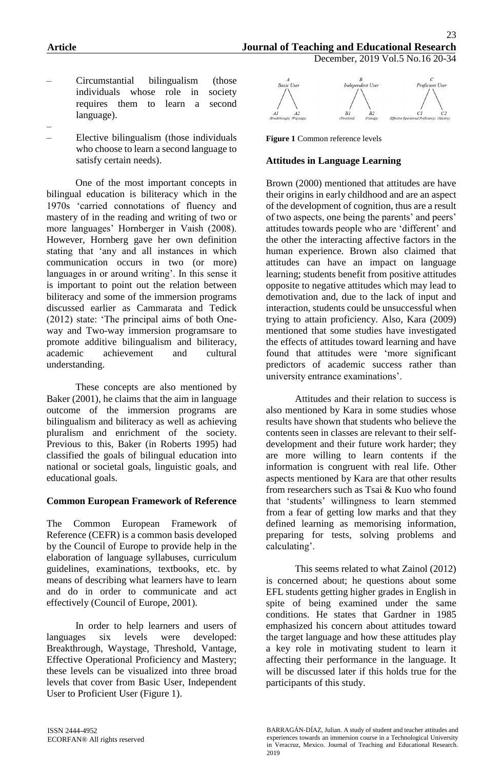- Circumstantial bilingualism (those individuals whose role in society requires them to learn a second language).
- – Elective bilingualism (those individuals who choose to learn a second language to satisfy certain needs).

One of the most important concepts in bilingual education is biliteracy which in the 1970s 'carried connotations of fluency and mastery of in the reading and writing of two or more languages' Hornberger in Vaish (2008). However, Hornberg gave her own definition stating that 'any and all instances in which communication occurs in two (or more) languages in or around writing'. In this sense it is important to point out the relation between biliteracy and some of the immersion programs discussed earlier as Cammarata and Tedick (2012) state: 'The principal aims of both Oneway and Two-way immersion programsare to promote additive bilingualism and biliteracy, academic achievement and cultural understanding.

These concepts are also mentioned by Baker (2001), he claims that the aim in language outcome of the immersion programs are bilingualism and biliteracy as well as achieving pluralism and enrichment of the society. Previous to this, Baker (in Roberts 1995) had classified the goals of bilingual education into national or societal goals, linguistic goals, and educational goals.

#### **Common European Framework of Reference**

The Common European Framework of Reference (CEFR) is a common basis developed by the Council of Europe to provide help in the elaboration of language syllabuses, curriculum guidelines, examinations, textbooks, etc. by means of describing what learners have to learn and do in order to communicate and act effectively (Council of Europe, 2001).

In order to help learners and users of languages six levels were developed: Breakthrough, Waystage, Threshold, Vantage, Effective Operational Proficiency and Mastery; these levels can be visualized into three broad levels that cover from Basic User, Independent User to Proficient User (Figure 1).



**Figure 1** Common reference levels

### **Attitudes in Language Learning**

Brown (2000) mentioned that attitudes are have their origins in early childhood and are an aspect of the development of cognition, thus are a result of two aspects, one being the parents' and peers' attitudes towards people who are 'different' and the other the interacting affective factors in the human experience. Brown also claimed that attitudes can have an impact on language learning; students benefit from positive attitudes opposite to negative attitudes which may lead to demotivation and, due to the lack of input and interaction, students could be unsuccessful when trying to attain proficiency. Also, Kara (2009) mentioned that some studies have investigated the effects of attitudes toward learning and have found that attitudes were 'more significant predictors of academic success rather than university entrance examinations'.

Attitudes and their relation to success is also mentioned by Kara in some studies whose results have shown that students who believe the contents seen in classes are relevant to their selfdevelopment and their future work harder; they are more willing to learn contents if the information is congruent with real life. Other aspects mentioned by Kara are that other results from researchers such as Tsai & Kuo who found that 'students' willingness to learn stemmed from a fear of getting low marks and that they defined learning as memorising information, preparing for tests, solving problems and calculating'.

This seems related to what Zainol (2012) is concerned about; he questions about some EFL students getting higher grades in English in spite of being examined under the same conditions. He states that Gardner in 1985 emphasized his concern about attitudes toward the target language and how these attitudes play a key role in motivating student to learn it affecting their performance in the language. It will be discussed later if this holds true for the participants of this study.

BARRAGÁN-DÍAZ, Julian. A study of student and teacher attitudes and experiences towards an immersion course in a Technological University in Veracruz, Mexico. Journal of Teaching and Educational Research. 2019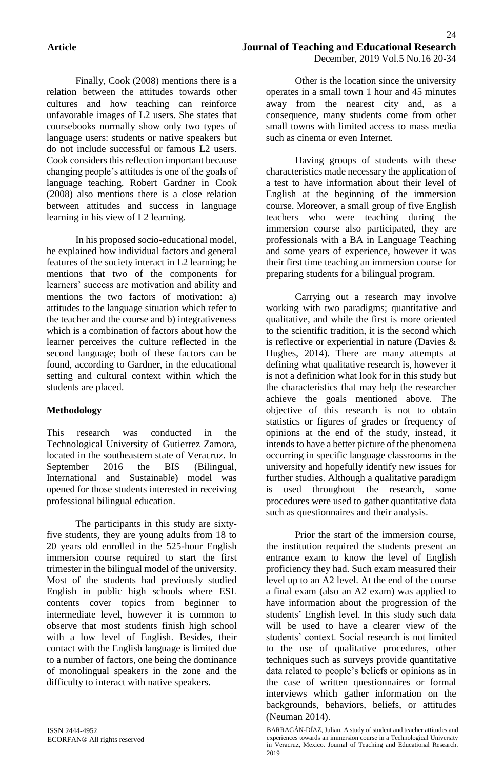Finally, Cook (2008) mentions there is a relation between the attitudes towards other cultures and how teaching can reinforce unfavorable images of L2 users. She states that coursebooks normally show only two types of language users: students or native speakers but do not include successful or famous L2 users. Cook considers this reflection important because changing people's attitudes is one of the goals of language teaching. Robert Gardner in Cook (2008) also mentions there is a close relation between attitudes and success in language learning in his view of L2 learning.

In his proposed socio-educational model, he explained how individual factors and general features of the society interact in L2 learning; he mentions that two of the components for learners' success are motivation and ability and mentions the two factors of motivation: a) attitudes to the language situation which refer to the teacher and the course and b) integrativeness which is a combination of factors about how the learner perceives the culture reflected in the second language; both of these factors can be found, according to Gardner, in the educational setting and cultural context within which the students are placed.

## **Methodology**

This research was conducted in the Technological University of Gutierrez Zamora, located in the southeastern state of Veracruz. In September 2016 the BIS (Bilingual, International and Sustainable) model was opened for those students interested in receiving professional bilingual education.

The participants in this study are sixtyfive students, they are young adults from 18 to 20 years old enrolled in the 525-hour English immersion course required to start the first trimester in the bilingual model of the university. Most of the students had previously studied English in public high schools where ESL contents cover topics from beginner to intermediate level, however it is common to observe that most students finish high school with a low level of English. Besides, their contact with the English language is limited due to a number of factors, one being the dominance of monolingual speakers in the zone and the difficulty to interact with native speakers.

Other is the location since the university operates in a small town 1 hour and 45 minutes away from the nearest city and, as a consequence, many students come from other small towns with limited access to mass media such as cinema or even Internet.

Having groups of students with these characteristics made necessary the application of a test to have information about their level of English at the beginning of the immersion course. Moreover, a small group of five English teachers who were teaching during the immersion course also participated, they are professionals with a BA in Language Teaching and some years of experience, however it was their first time teaching an immersion course for preparing students for a bilingual program.

Carrying out a research may involve working with two paradigms; quantitative and qualitative, and while the first is more oriented to the scientific tradition, it is the second which is reflective or experiential in nature (Davies & Hughes, 2014). There are many attempts at defining what qualitative research is, however it is not a definition what look for in this study but the characteristics that may help the researcher achieve the goals mentioned above. The objective of this research is not to obtain statistics or figures of grades or frequency of opinions at the end of the study, instead, it intends to have a better picture of the phenomena occurring in specific language classrooms in the university and hopefully identify new issues for further studies. Although a qualitative paradigm is used throughout the research, some procedures were used to gather quantitative data such as questionnaires and their analysis.

Prior the start of the immersion course, the institution required the students present an entrance exam to know the level of English proficiency they had. Such exam measured their level up to an A2 level. At the end of the course a final exam (also an A2 exam) was applied to have information about the progression of the students' English level. In this study such data will be used to have a clearer view of the students' context. Social research is not limited to the use of qualitative procedures, other techniques such as surveys provide quantitative data related to people's beliefs or opinions as in the case of written questionnaires or formal interviews which gather information on the backgrounds, behaviors, beliefs, or attitudes (Neuman 2014).

BARRAGÁN-DÍAZ, Julian. A study of student and teacher attitudes and experiences towards an immersion course in a Technological University in Veracruz, Mexico. Journal of Teaching and Educational Research. 2019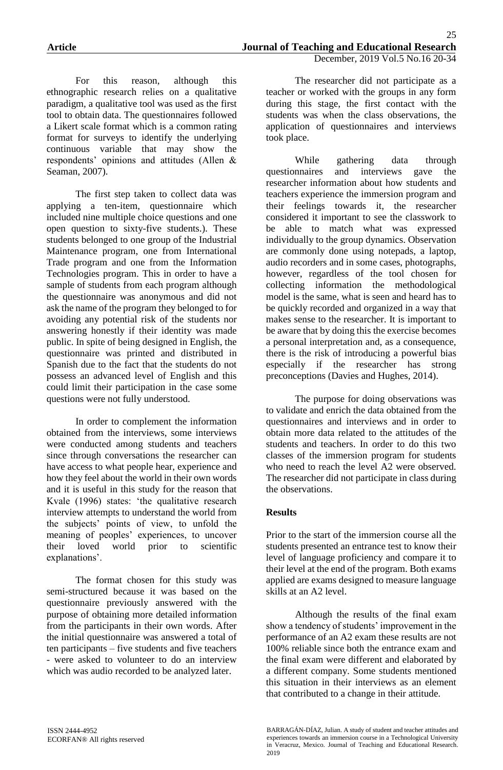For this reason, although this ethnographic research relies on a qualitative paradigm, a qualitative tool was used as the first tool to obtain data. The questionnaires followed a Likert scale format which is a common rating format for surveys to identify the underlying continuous variable that may show the respondents' opinions and attitudes (Allen & Seaman, 2007).

The first step taken to collect data was applying a ten-item, questionnaire which included nine multiple choice questions and one open question to sixty-five students.). These students belonged to one group of the Industrial Maintenance program, one from International Trade program and one from the Information Technologies program. This in order to have a sample of students from each program although the questionnaire was anonymous and did not ask the name of the program they belonged to for avoiding any potential risk of the students nor answering honestly if their identity was made public. In spite of being designed in English, the questionnaire was printed and distributed in Spanish due to the fact that the students do not possess an advanced level of English and this could limit their participation in the case some questions were not fully understood.

In order to complement the information obtained from the interviews, some interviews were conducted among students and teachers since through conversations the researcher can have access to what people hear, experience and how they feel about the world in their own words and it is useful in this study for the reason that Kvale (1996) states: 'the qualitative research interview attempts to understand the world from the subjects' points of view, to unfold the meaning of peoples' experiences, to uncover their loved world prior to scientific explanations'.

The format chosen for this study was semi-structured because it was based on the questionnaire previously answered with the purpose of obtaining more detailed information from the participants in their own words. After the initial questionnaire was answered a total of ten participants – five students and five teachers - were asked to volunteer to do an interview which was audio recorded to be analyzed later.

The researcher did not participate as a teacher or worked with the groups in any form during this stage, the first contact with the students was when the class observations, the application of questionnaires and interviews took place.

While gathering data through questionnaires and interviews gave the researcher information about how students and teachers experience the immersion program and their feelings towards it, the researcher considered it important to see the classwork to be able to match what was expressed individually to the group dynamics. Observation are commonly done using notepads, a laptop, audio recorders and in some cases, photographs, however, regardless of the tool chosen for collecting information the methodological model is the same, what is seen and heard has to be quickly recorded and organized in a way that makes sense to the researcher. It is important to be aware that by doing this the exercise becomes a personal interpretation and, as a consequence, there is the risk of introducing a powerful bias especially if the researcher has strong preconceptions (Davies and Hughes, 2014).

The purpose for doing observations was to validate and enrich the data obtained from the questionnaires and interviews and in order to obtain more data related to the attitudes of the students and teachers. In order to do this two classes of the immersion program for students who need to reach the level A2 were observed. The researcher did not participate in class during the observations.

## **Results**

Prior to the start of the immersion course all the students presented an entrance test to know their level of language proficiency and compare it to their level at the end of the program. Both exams applied are exams designed to measure language skills at an A2 level.

Although the results of the final exam show a tendency of students' improvement in the performance of an A2 exam these results are not 100% reliable since both the entrance exam and the final exam were different and elaborated by a different company. Some students mentioned this situation in their interviews as an element that contributed to a change in their attitude.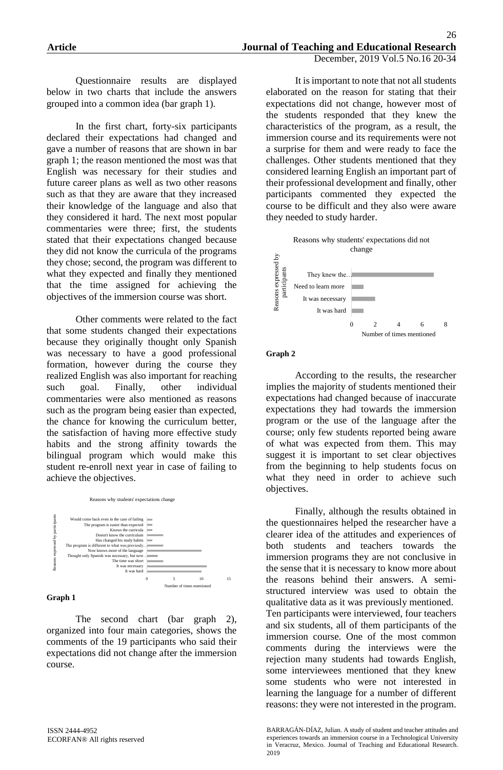It is important to note that not all students

elaborated on the reason for stating that their expectations did not change, however most of the students responded that they knew the

Questionnaire results are displayed below in two charts that include the answers grouped into a common idea (bar graph 1).

In the first chart, forty-six participants declared their expectations had changed and gave a number of reasons that are shown in bar graph 1; the reason mentioned the most was that English was necessary for their studies and future career plans as well as two other reasons such as that they are aware that they increased their knowledge of the language and also that they considered it hard. The next most popular commentaries were three; first, the students stated that their expectations changed because they did not know the curricula of the programs they chose; second, the program was different to what they expected and finally they mentioned that the time assigned for achieving the objectives of the immersion course was short.

Other comments were related to the fact that some students changed their expectations because they originally thought only Spanish was necessary to have a good professional formation, however during the course they realized English was also important for reaching such goal. Finally, other individual commentaries were also mentioned as reasons such as the program being easier than expected, the chance for knowing the curriculum better, the satisfaction of having more effective study habits and the strong affinity towards the bilingual program which would make this student re-enroll next year in case of failing to achieve the objectives.



#### **Graph 1**

The second chart (bar graph 2), organized into four main categories, shows the comments of the 19 participants who said their expectations did not change after the immersion course.

characteristics of the program, as a result, the immersion course and its requirements were not a surprise for them and were ready to face the challenges. Other students mentioned that they considered learning English an important part of their professional development and finally, other participants commented they expected the course to be difficult and they also were aware they needed to study harder. Reasons why students' expectations did not change $\mathbf{S}$ They knew the… Need to learn more



#### **Graph 2**

According to the results, the researcher implies the majority of students mentioned their expectations had changed because of inaccurate expectations they had towards the immersion program or the use of the language after the course; only few students reported being aware of what was expected from them. This may suggest it is important to set clear objectives from the beginning to help students focus on what they need in order to achieve such objectives.

Finally, although the results obtained in the questionnaires helped the researcher have a clearer idea of the attitudes and experiences of both students and teachers towards the immersion programs they are not conclusive in the sense that it is necessary to know more about the reasons behind their answers. A semistructured interview was used to obtain the qualitative data as it was previously mentioned. Ten participants were interviewed, four teachers and six students, all of them participants of the immersion course. One of the most common comments during the interviews were the rejection many students had towards English, some interviewees mentioned that they knew some students who were not interested in learning the language for a number of different reasons: they were not interested in the program.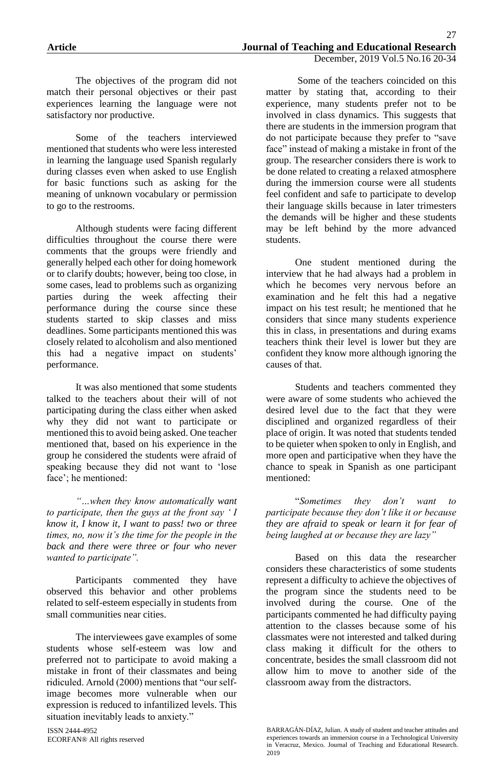The objectives of the program did not match their personal objectives or their past experiences learning the language were not satisfactory nor productive.

Some of the teachers interviewed mentioned that students who were less interested in learning the language used Spanish regularly during classes even when asked to use English for basic functions such as asking for the meaning of unknown vocabulary or permission to go to the restrooms.

Although students were facing different difficulties throughout the course there were comments that the groups were friendly and generally helped each other for doing homework or to clarify doubts; however, being too close, in some cases, lead to problems such as organizing parties during the week affecting their performance during the course since these students started to skip classes and miss deadlines. Some participants mentioned this was closely related to alcoholism and also mentioned this had a negative impact on students' performance.

It was also mentioned that some students talked to the teachers about their will of not participating during the class either when asked why they did not want to participate or mentioned this to avoid being asked. One teacher mentioned that, based on his experience in the group he considered the students were afraid of speaking because they did not want to 'lose face'; he mentioned:

*"…when they know automatically want to participate, then the guys at the front say ' I know it, I know it, I want to pass! two or three times, no, now it's the time for the people in the back and there were three or four who never wanted to participate".*

Participants commented they have observed this behavior and other problems related to self-esteem especially in students from small communities near cities.

The interviewees gave examples of some students whose self-esteem was low and preferred not to participate to avoid making a mistake in front of their classmates and being ridiculed. Arnold (2000) mentions that "our selfimage becomes more vulnerable when our expression is reduced to infantilized levels. This situation inevitably leads to anxiety."

ISSN 2444-4952 ECORFAN® All rights reserved

Some of the teachers coincided on this matter by stating that, according to their experience, many students prefer not to be involved in class dynamics. This suggests that there are students in the immersion program that do not participate because they prefer to "save face" instead of making a mistake in front of the group. The researcher considers there is work to be done related to creating a relaxed atmosphere during the immersion course were all students feel confident and safe to participate to develop their language skills because in later trimesters the demands will be higher and these students may be left behind by the more advanced students.

One student mentioned during the interview that he had always had a problem in which he becomes very nervous before an examination and he felt this had a negative impact on his test result; he mentioned that he considers that since many students experience this in class, in presentations and during exams teachers think their level is lower but they are confident they know more although ignoring the causes of that.

Students and teachers commented they were aware of some students who achieved the desired level due to the fact that they were disciplined and organized regardless of their place of origin. It was noted that students tended to be quieter when spoken to only in English, and more open and participative when they have the chance to speak in Spanish as one participant mentioned:

"*Sometimes they don't want to participate because they don't like it or because they are afraid to speak or learn it for fear of being laughed at or because they are lazy"*

Based on this data the researcher considers these characteristics of some students represent a difficulty to achieve the objectives of the program since the students need to be involved during the course. One of the participants commented he had difficulty paying attention to the classes because some of his classmates were not interested and talked during class making it difficult for the others to concentrate, besides the small classroom did not allow him to move to another side of the classroom away from the distractors.

BARRAGÁN-DÍAZ, Julian. A study of student and teacher attitudes and experiences towards an immersion course in a Technological University in Veracruz, Mexico. Journal of Teaching and Educational Research. 2019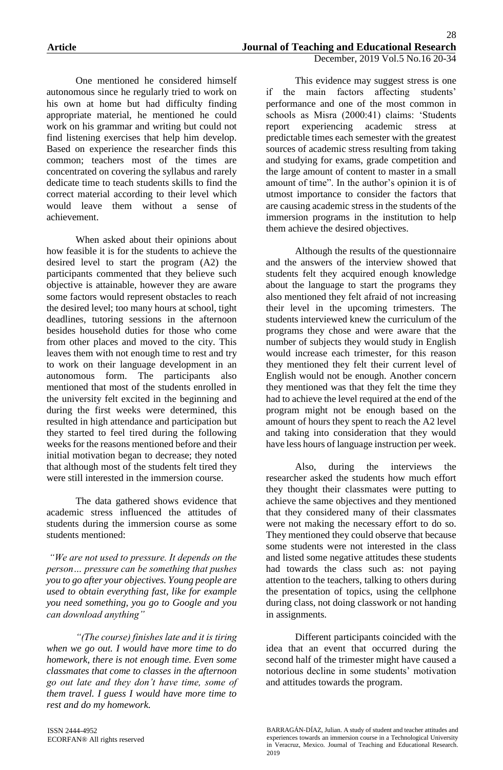One mentioned he considered himself autonomous since he regularly tried to work on his own at home but had difficulty finding appropriate material, he mentioned he could work on his grammar and writing but could not find listening exercises that help him develop. Based on experience the researcher finds this common; teachers most of the times are concentrated on covering the syllabus and rarely dedicate time to teach students skills to find the correct material according to their level which would leave them without a sense of achievement.

When asked about their opinions about how feasible it is for the students to achieve the desired level to start the program (A2) the participants commented that they believe such objective is attainable, however they are aware some factors would represent obstacles to reach the desired level; too many hours at school, tight deadlines, tutoring sessions in the afternoon besides household duties for those who come from other places and moved to the city. This leaves them with not enough time to rest and try to work on their language development in an autonomous form. The participants also mentioned that most of the students enrolled in the university felt excited in the beginning and during the first weeks were determined, this resulted in high attendance and participation but they started to feel tired during the following weeks for the reasons mentioned before and their initial motivation began to decrease; they noted that although most of the students felt tired they were still interested in the immersion course.

The data gathered shows evidence that academic stress influenced the attitudes of students during the immersion course as some students mentioned:

*"We are not used to pressure. It depends on the person… pressure can be something that pushes you to go after your objectives. Young people are used to obtain everything fast, like for example you need something, you go to Google and you can download anything"*

*"(The course) finishes late and it is tiring when we go out. I would have more time to do homework, there is not enough time. Even some classmates that come to classes in the afternoon go out late and they don't have time, some of them travel. I guess I would have more time to rest and do my homework.*

This evidence may suggest stress is one if the main factors affecting students' performance and one of the most common in schools as Misra (2000:41) claims: 'Students report experiencing academic stress at predictable times each semester with the greatest sources of academic stress resulting from taking and studying for exams, grade competition and the large amount of content to master in a small amount of time". In the author's opinion it is of utmost importance to consider the factors that are causing academic stress in the students of the immersion programs in the institution to help them achieve the desired objectives.

Although the results of the questionnaire and the answers of the interview showed that students felt they acquired enough knowledge about the language to start the programs they also mentioned they felt afraid of not increasing their level in the upcoming trimesters. The students interviewed knew the curriculum of the programs they chose and were aware that the number of subjects they would study in English would increase each trimester, for this reason they mentioned they felt their current level of English would not be enough. Another concern they mentioned was that they felt the time they had to achieve the level required at the end of the program might not be enough based on the amount of hours they spent to reach the A2 level and taking into consideration that they would have less hours of language instruction per week.

Also, during the interviews the researcher asked the students how much effort they thought their classmates were putting to achieve the same objectives and they mentioned that they considered many of their classmates were not making the necessary effort to do so. They mentioned they could observe that because some students were not interested in the class and listed some negative attitudes these students had towards the class such as: not paying attention to the teachers, talking to others during the presentation of topics, using the cellphone during class, not doing classwork or not handing in assignments.

Different participants coincided with the idea that an event that occurred during the second half of the trimester might have caused a notorious decline in some students' motivation and attitudes towards the program.

BARRAGÁN-DÍAZ, Julian. A study of student and teacher attitudes and experiences towards an immersion course in a Technological University in Veracruz, Mexico. Journal of Teaching and Educational Research. 2019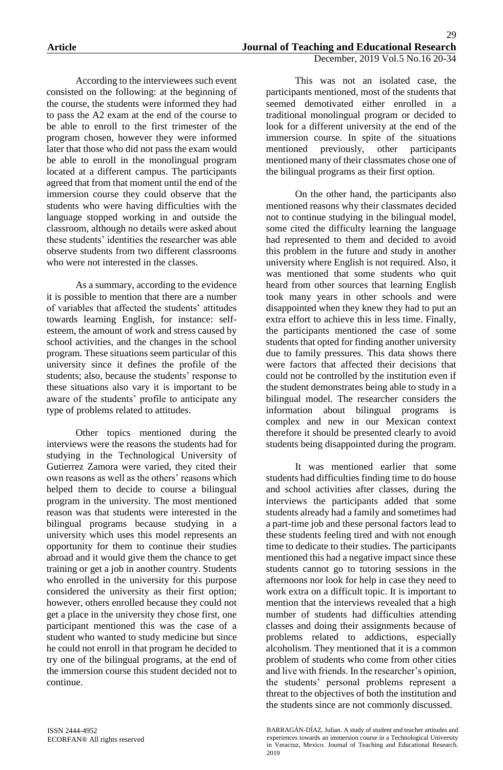According to the interviewees such event consisted on the following: at the beginning of the course, the students were informed they had to pass the A2 exam at the end of the course to be able to enroll to the first trimester of the program chosen, however they were informed later that those who did not pass the exam would be able to enroll in the monolingual program located at a different campus. The participants agreed that from that moment until the end of the immersion course they could observe that the students who were having difficulties with the language stopped working in and outside the classroom, although no details were asked about these students' identities the researcher was able observe students from two different classrooms who were not interested in the classes.

As a summary, according to the evidence it is possible to mention that there are a number of variables that affected the students' attitudes towards learning English, for instance: selfesteem, the amount of work and stress caused by school activities, and the changes in the school program. These situations seem particular of this university since it defines the profile of the students; also, because the students' response to these situations also vary it is important to be aware of the students' profile to anticipate any type of problems related to attitudes.

Other topics mentioned during the interviews were the reasons the students had for studying in the Technological University of Gutierrez Zamora were varied, they cited their own reasons as well as the others' reasons which helped them to decide to course a bilingual program in the university. The most mentioned reason was that students were interested in the bilingual programs because studying in a university which uses this model represents an opportunity for them to continue their studies abroad and it would give them the chance to get training or get a job in another country. Students who enrolled in the university for this purpose considered the university as their first option; however, others enrolled because they could not get a place in the university they chose first, one participant mentioned this was the case of a student who wanted to study medicine but since he could not enroll in that program he decided to try one of the bilingual programs, at the end of the immersion course this student decided not to continue.

This was not an isolated case, the participants mentioned, most of the students that seemed demotivated either enrolled in a traditional monolingual program or decided to look for a different university at the end of the immersion course. In spite of the situations mentioned previously, other participants mentioned many of their classmates chose one of the bilingual programs as their first option.

On the other hand, the participants also mentioned reasons why their classmates decided not to continue studying in the bilingual model, some cited the difficulty learning the language had represented to them and decided to avoid this problem in the future and study in another university where English is not required. Also, it was mentioned that some students who quit heard from other sources that learning English took many years in other schools and were disappointed when they knew they had to put an extra effort to achieve this in less time. Finally, the participants mentioned the case of some students that opted for finding another university due to family pressures. This data shows there were factors that affected their decisions that could not be controlled by the institution even if the student demonstrates being able to study in a bilingual model. The researcher considers the information about bilingual programs is complex and new in our Mexican context therefore it should be presented clearly to avoid students being disappointed during the program.

It was mentioned earlier that some students had difficulties finding time to do house and school activities after classes, during the interviews the participants added that some students already had a family and sometimes had a part-time job and these personal factors lead to these students feeling tired and with not enough time to dedicate to their studies. The participants mentioned this had a negative impact since these students cannot go to tutoring sessions in the afternoons nor look for help in case they need to work extra on a difficult topic. It is important to mention that the interviews revealed that a high number of students had difficulties attending classes and doing their assignments because of problems related to addictions, especially alcoholism. They mentioned that it is a common problem of students who come from other cities and live with friends. In the researcher's opinion, the students' personal problems represent a threat to the objectives of both the institution and the students since are not commonly discussed.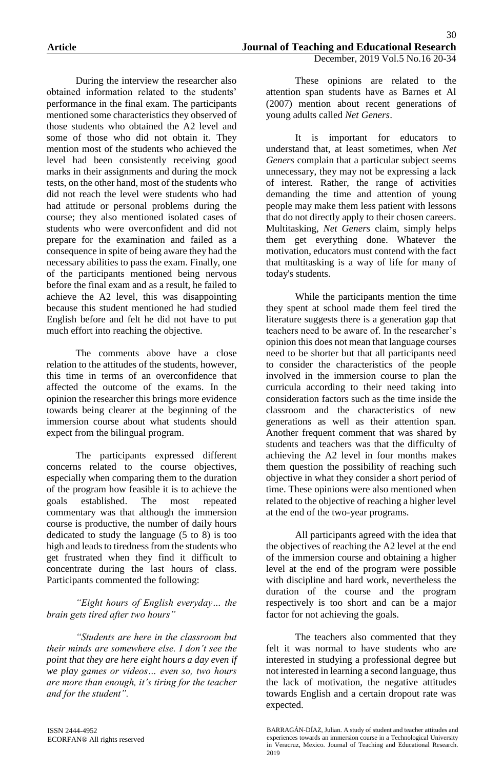During the interview the researcher also obtained information related to the students' performance in the final exam. The participants mentioned some characteristics they observed of those students who obtained the A2 level and some of those who did not obtain it. They mention most of the students who achieved the level had been consistently receiving good marks in their assignments and during the mock tests, on the other hand, most of the students who did not reach the level were students who had had attitude or personal problems during the course; they also mentioned isolated cases of students who were overconfident and did not prepare for the examination and failed as a consequence in spite of being aware they had the necessary abilities to pass the exam. Finally, one of the participants mentioned being nervous before the final exam and as a result, he failed to achieve the A2 level, this was disappointing because this student mentioned he had studied English before and felt he did not have to put much effort into reaching the objective.

The comments above have a close relation to the attitudes of the students, however, this time in terms of an overconfidence that affected the outcome of the exams. In the opinion the researcher this brings more evidence towards being clearer at the beginning of the immersion course about what students should expect from the bilingual program.

The participants expressed different concerns related to the course objectives, especially when comparing them to the duration of the program how feasible it is to achieve the goals established. The most repeated commentary was that although the immersion course is productive, the number of daily hours dedicated to study the language (5 to 8) is too high and leads to tiredness from the students who get frustrated when they find it difficult to concentrate during the last hours of class. Participants commented the following:

*"Eight hours of English everyday… the brain gets tired after two hours"*

*"Students are here in the classroom but their minds are somewhere else. I don't see the point that they are here eight hours a day even if we play games or videos… even so, two hours are more than enough, it's tiring for the teacher and for the student".*

These opinions are related to the attention span students have as Barnes et Al (2007) mention about recent generations of young adults called *Net Geners*.

It is important for educators to understand that, at least sometimes, when *Net Geners* complain that a particular subject seems unnecessary, they may not be expressing a lack of interest. Rather, the range of activities demanding the time and attention of young people may make them less patient with lessons that do not directly apply to their chosen careers. Multitasking, *Net Geners* claim, simply helps them get everything done. Whatever the motivation, educators must contend with the fact that multitasking is a way of life for many of today's students.

While the participants mention the time they spent at school made them feel tired the literature suggests there is a generation gap that teachers need to be aware of. In the researcher's opinion this does not mean that language courses need to be shorter but that all participants need to consider the characteristics of the people involved in the immersion course to plan the curricula according to their need taking into consideration factors such as the time inside the classroom and the characteristics of new generations as well as their attention span. Another frequent comment that was shared by students and teachers was that the difficulty of achieving the A2 level in four months makes them question the possibility of reaching such objective in what they consider a short period of time. These opinions were also mentioned when related to the objective of reaching a higher level at the end of the two-year programs.

All participants agreed with the idea that the objectives of reaching the A2 level at the end of the immersion course and obtaining a higher level at the end of the program were possible with discipline and hard work, nevertheless the duration of the course and the program respectively is too short and can be a major factor for not achieving the goals.

The teachers also commented that they felt it was normal to have students who are interested in studying a professional degree but not interested in learning a second language, thus the lack of motivation, the negative attitudes towards English and a certain dropout rate was expected.

BARRAGÁN-DÍAZ, Julian. A study of student and teacher attitudes and experiences towards an immersion course in a Technological University in Veracruz, Mexico. Journal of Teaching and Educational Research. 2019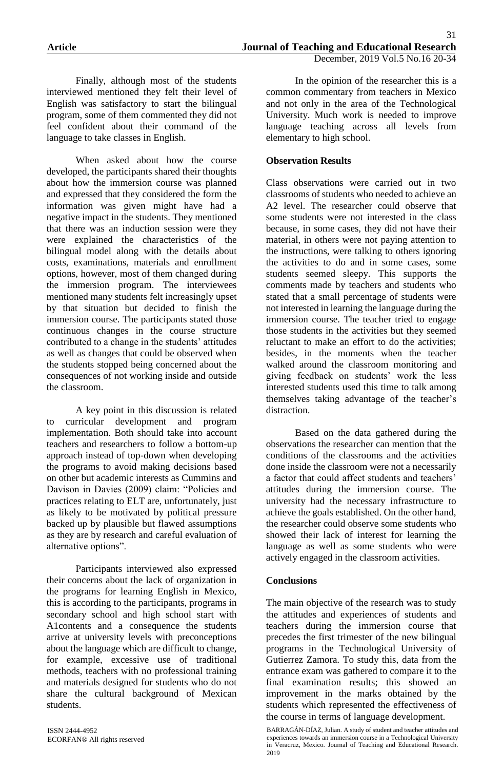Finally, although most of the students interviewed mentioned they felt their level of English was satisfactory to start the bilingual program, some of them commented they did not feel confident about their command of the language to take classes in English.

When asked about how the course developed, the participants shared their thoughts about how the immersion course was planned and expressed that they considered the form the information was given might have had a negative impact in the students. They mentioned that there was an induction session were they were explained the characteristics of the bilingual model along with the details about costs, examinations, materials and enrollment options, however, most of them changed during the immersion program. The interviewees mentioned many students felt increasingly upset by that situation but decided to finish the immersion course. The participants stated those continuous changes in the course structure contributed to a change in the students' attitudes as well as changes that could be observed when the students stopped being concerned about the consequences of not working inside and outside the classroom.

A key point in this discussion is related to curricular development and program implementation. Both should take into account teachers and researchers to follow a bottom-up approach instead of top-down when developing the programs to avoid making decisions based on other but academic interests as Cummins and Davison in Davies (2009) claim: "Policies and practices relating to ELT are, unfortunately, just as likely to be motivated by political pressure backed up by plausible but flawed assumptions as they are by research and careful evaluation of alternative options".

Participants interviewed also expressed their concerns about the lack of organization in the programs for learning English in Mexico, this is according to the participants, programs in secondary school and high school start with A1contents and a consequence the students arrive at university levels with preconceptions about the language which are difficult to change, for example, excessive use of traditional methods, teachers with no professional training and materials designed for students who do not share the cultural background of Mexican students.

ISSN 2444-4952 ECORFAN® All rights reserved

In the opinion of the researcher this is a common commentary from teachers in Mexico and not only in the area of the Technological University. Much work is needed to improve language teaching across all levels from elementary to high school.

### **Observation Results**

Class observations were carried out in two classrooms of students who needed to achieve an A2 level. The researcher could observe that some students were not interested in the class because, in some cases, they did not have their material, in others were not paying attention to the instructions, were talking to others ignoring the activities to do and in some cases, some students seemed sleepy. This supports the comments made by teachers and students who stated that a small percentage of students were not interested in learning the language during the immersion course. The teacher tried to engage those students in the activities but they seemed reluctant to make an effort to do the activities; besides, in the moments when the teacher walked around the classroom monitoring and giving feedback on students' work the less interested students used this time to talk among themselves taking advantage of the teacher's distraction.

Based on the data gathered during the observations the researcher can mention that the conditions of the classrooms and the activities done inside the classroom were not a necessarily a factor that could affect students and teachers' attitudes during the immersion course. The university had the necessary infrastructure to achieve the goals established. On the other hand, the researcher could observe some students who showed their lack of interest for learning the language as well as some students who were actively engaged in the classroom activities.

#### **Conclusions**

The main objective of the research was to study the attitudes and experiences of students and teachers during the immersion course that precedes the first trimester of the new bilingual programs in the Technological University of Gutierrez Zamora. To study this, data from the entrance exam was gathered to compare it to the final examination results; this showed an improvement in the marks obtained by the students which represented the effectiveness of the course in terms of language development.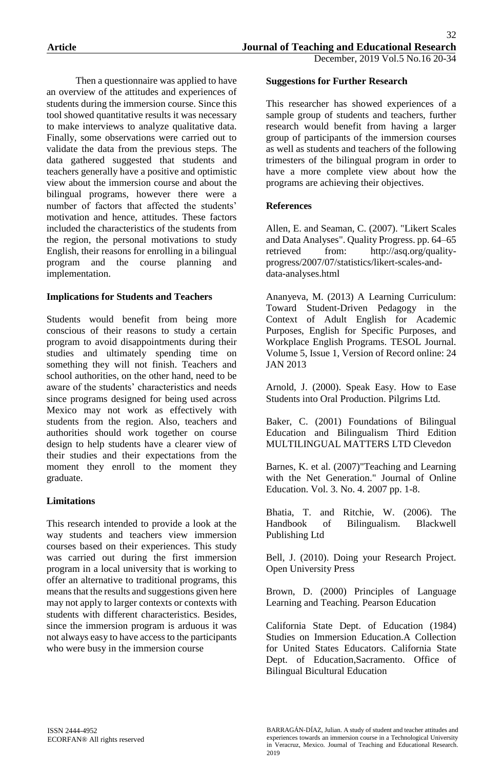Then a questionnaire was applied to have an overview of the attitudes and experiences of students during the immersion course. Since this tool showed quantitative results it was necessary to make interviews to analyze qualitative data. Finally, some observations were carried out to validate the data from the previous steps. The data gathered suggested that students and teachers generally have a positive and optimistic view about the immersion course and about the bilingual programs, however there were a number of factors that affected the students' motivation and hence, attitudes. These factors included the characteristics of the students from the region, the personal motivations to study English, their reasons for enrolling in a bilingual program and the course planning and implementation.

## **Implications for Students and Teachers**

Students would benefit from being more conscious of their reasons to study a certain program to avoid disappointments during their studies and ultimately spending time on something they will not finish. Teachers and school authorities, on the other hand, need to be aware of the students' characteristics and needs since programs designed for being used across Mexico may not work as effectively with students from the region. Also, teachers and authorities should work together on course design to help students have a clearer view of their studies and their expectations from the moment they enroll to the moment they graduate.

## **Limitations**

This research intended to provide a look at the way students and teachers view immersion courses based on their experiences. This study was carried out during the first immersion program in a local university that is working to offer an alternative to traditional programs, this means that the results and suggestions given here may not apply to larger contexts or contexts with students with different characteristics. Besides, since the immersion program is arduous it was not always easy to have access to the participants who were busy in the immersion course

#### **Suggestions for Further Research**

This researcher has showed experiences of a sample group of students and teachers, further research would benefit from having a larger group of participants of the immersion courses as well as students and teachers of the following trimesters of the bilingual program in order to have a more complete view about how the programs are achieving their objectives.

### **References**

Allen, E. and Seaman, C. (2007). "Likert Scales and Data Analyses". Quality Progress. pp. 64–65 retrieved from: http://asq.org/qualityprogress/2007/07/statistics/likert-scales-anddata-analyses.html

Ananyeva, M. (2013) A Learning Curriculum: Toward Student-Driven Pedagogy in the Context of Adult English for Academic Purposes, English for Specific Purposes, and Workplace English Programs. TESOL Journal. Volume 5, Issue 1, Version of Record online: 24 JAN 2013

Arnold, J. (2000). Speak Easy. How to Ease Students into Oral Production. Pilgrims Ltd.

Baker, C. (2001) Foundations of Bilingual Education and Bilingualism Third Edition MULTILINGUAL MATTERS LTD Clevedon

Barnes, K. et al. (2007)"Teaching and Learning with the Net Generation." Journal of Online Education. Vol. 3. No. 4. 2007 pp. 1-8.

Bhatia, T. and Ritchie, W. (2006). The Handbook of Bilingualism. Blackwell Publishing Ltd

Bell, J. (2010). Doing your Research Project. Open University Press

Brown, D. (2000) Principles of Language Learning and Teaching. Pearson Education

California State Dept. of Education (1984) Studies on Immersion Education.A Collection for United States Educators. California State Dept. of Education,Sacramento. Office of Bilingual Bicultural Education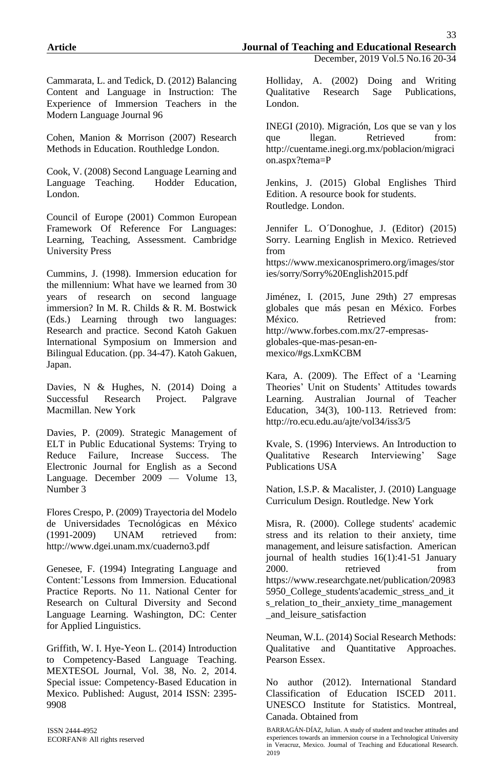Cammarata, L. and Tedick, D. (2012) Balancing Content and Language in Instruction: The Experience of Immersion Teachers in the Modern Language Journal 96

Cohen, Manion & Morrison (2007) Research Methods in Education. Routhledge London.

Cook, V. (2008) Second Language Learning and Language Teaching. Hodder Education, London.

Council of Europe (2001) Common European Framework Of Reference For Languages: Learning, Teaching, Assessment. Cambridge University Press

Cummins, J. (1998). Immersion education for the millennium: What have we learned from 30 years of research on second language immersion? In M. R. Childs & R. M. Bostwick (Eds.) Learning through two languages: Research and practice. Second Katoh Gakuen International Symposium on Immersion and Bilingual Education. (pp. 34-47). Katoh Gakuen, Japan.

Davies, N & Hughes, N. (2014) Doing a Successful Research Project. Palgrave Macmillan. New York

Davies, P. (2009). Strategic Management of ELT in Public Educational Systems: Trying to Reduce Failure, Increase Success. The Electronic Journal for English as a Second Language. December 2009 — Volume 13, Number 3

Flores Crespo, P. (2009) Trayectoria del Modelo de Universidades Tecnológicas en México (1991-2009) UNAM retrieved from: http://www.dgei.unam.mx/cuaderno3.pdf

Genesee, F. (1994) Integrating Language and Content:˚Lessons from Immersion. Educational Practice Reports. No 11. National Center for Research on Cultural Diversity and Second Language Learning. Washington, DC: Center for Applied Linguistics.

Griffith, W. I. Hye-Yeon L. (2014) Introduction to Competency-Based Language Teaching. MEXTESOL Journal, Vol. 38, No. 2, 2014. Special issue: Competency-Based Education in Mexico. Published: August, 2014 ISSN: 2395- 9908

ISSN 2444-4952 ECORFAN® All rights reserved Holliday, A. (2002) Doing and Writing Qualitative Research Sage Publications, London.

INEGI (2010). Migración, Los que se van y los que llegan. Retrieved from: http://cuentame.inegi.org.mx/poblacion/migraci on.aspx?tema=P

Jenkins, J. (2015) Global Englishes Third Edition. A resource book for students. Routledge. London.

Jennifer L. O´Donoghue, J. (Editor) (2015) Sorry. Learning English in Mexico. Retrieved from

https://www.mexicanosprimero.org/images/stor ies/sorry/Sorry%20English2015.pdf

Jiménez, I. (2015, June 29th) 27 empresas globales que más pesan en México. Forbes México. Retrieved from: http://www.forbes.com.mx/27-empresasglobales-que-mas-pesan-enmexico/#gs.LxmKCBM

Kara, A. (2009). The Effect of a 'Learning Theories' Unit on Students' Attitudes towards Learning. Australian Journal of Teacher Education, 34(3), 100-113. Retrieved from: http://ro.ecu.edu.au/ajte/vol34/iss3/5

Kvale, S. (1996) Interviews. An Introduction to Qualitative Research Interviewing' Sage Publications USA

Nation, I.S.P. & Macalister, J. (2010) Language Curriculum Design. Routledge. New York

Misra, R. (2000). College students' academic stress and its relation to their anxiety, time management, and leisure satisfaction. American journal of health studies 16(1):41-51 January 2000. retrieved from https://www.researchgate.net/publication/20983 5950 College students'academic stress and it s\_relation\_to\_their\_anxiety\_time\_management \_and\_leisure\_satisfaction

Neuman, W.L. (2014) Social Research Methods: Qualitative and Quantitative Approaches. Pearson Essex.

No author (2012). International Standard Classification of Education ISCED 2011. UNESCO Institute for Statistics. Montreal, Canada. Obtained from

BARRAGÁN-DÍAZ, Julian. A study of student and teacher attitudes and experiences towards an immersion course in a Technological University in Veracruz, Mexico. Journal of Teaching and Educational Research. 2019